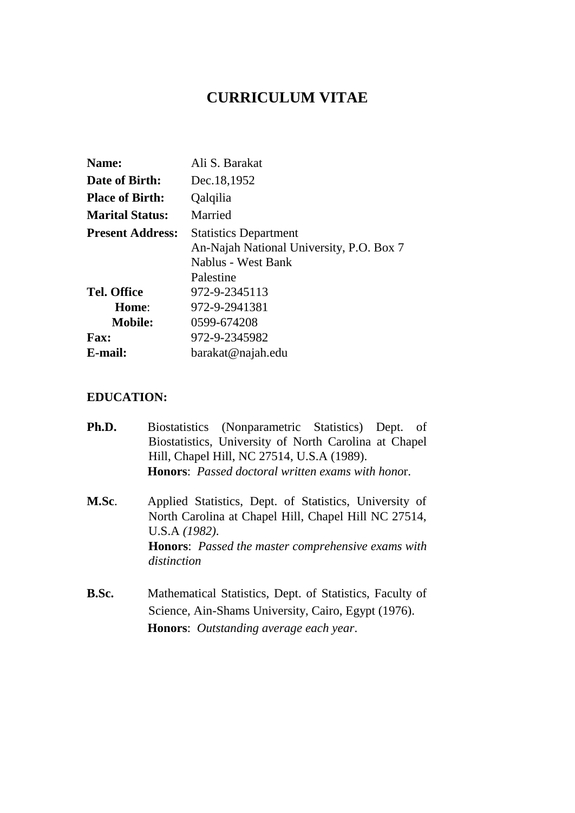# **CURRICULUM VITAE**

| Name:                   | Ali S. Barakat                                                                                              |
|-------------------------|-------------------------------------------------------------------------------------------------------------|
| Date of Birth:          | Dec.18,1952                                                                                                 |
| <b>Place of Birth:</b>  | Qalqilia                                                                                                    |
| <b>Marital Status:</b>  | Married                                                                                                     |
| <b>Present Address:</b> | <b>Statistics Department</b><br>An-Najah National University, P.O. Box 7<br>Nablus - West Bank<br>Palestine |
| <b>Tel. Office</b>      | 972-9-2345113                                                                                               |
| Home:                   | 972-9-2941381                                                                                               |
| <b>Mobile:</b>          | 0599-674208                                                                                                 |
| <b>Fax:</b>             | 972-9-2345982                                                                                               |
| E-mail:                 | barakat@najah.edu                                                                                           |

## **EDUCATION:**

| Ph.D. | Biostatistics (Nonparametric Statistics) Dept.<br>- of                                                                          |  |  |
|-------|---------------------------------------------------------------------------------------------------------------------------------|--|--|
|       | Biostatistics, University of North Carolina at Chapel                                                                           |  |  |
|       | Hill, Chapel Hill, NC 27514, U.S.A (1989).                                                                                      |  |  |
|       | <b>Honors:</b> Passed doctoral written exams with honor.                                                                        |  |  |
| M.Sc. | Applied Statistics, Dept. of Statistics, University of<br>North Carolina at Chapel Hill, Chapel Hill NC 27514,<br>U.S.A (1982). |  |  |
|       | <b>Honors:</b> Passed the master comprehensive exams with<br>distinction                                                        |  |  |
| B.Sc. | Mathematical Statistics, Dept. of Statistics, Faculty of                                                                        |  |  |
|       | Science, Ain-Shams University, Cairo, Egypt (1976).                                                                             |  |  |
|       | <b>Honors:</b> Outstanding average each year.                                                                                   |  |  |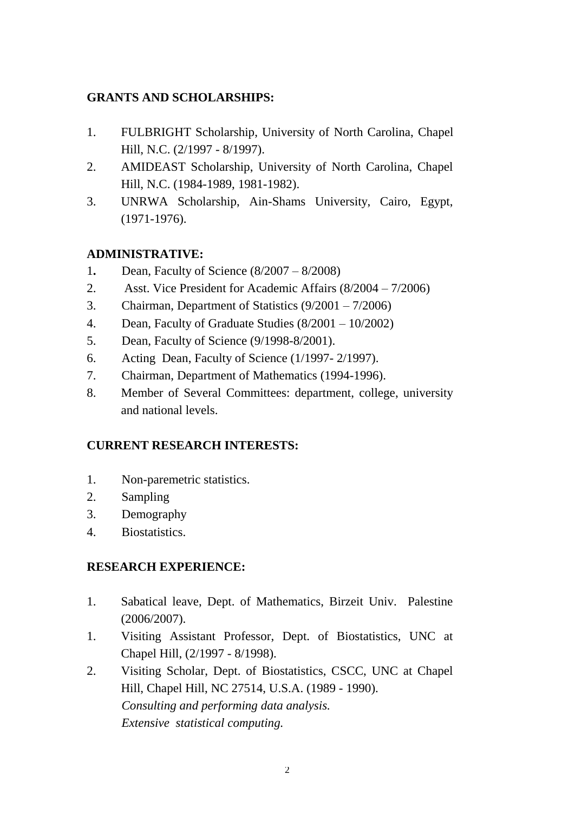# **GRANTS AND SCHOLARSHIPS:**

- 1. FULBRIGHT Scholarship, University of North Carolina, Chapel Hill, N.C. (2/1997 - 8/1997).
- 2. AMIDEAST Scholarship, University of North Carolina, Chapel Hill, N.C. (1984-1989, 1981-1982).
- 3. UNRWA Scholarship, Ain-Shams University, Cairo, Egypt, (1971-1976).

## **ADMINISTRATIVE:**

- 1**.** Dean, Faculty of Science (8/2007 8/2008)
- 2. Asst. Vice President for Academic Affairs (8/2004 7/2006)
- 3. Chairman, Department of Statistics (9/2001 7/2006)
- 4. Dean, Faculty of Graduate Studies (8/2001 10/2002)
- 5. Dean, Faculty of Science (9/1998-8/2001).
- 6. Acting Dean, Faculty of Science (1/1997- 2/1997).
- 7. Chairman, Department of Mathematics (1994-1996).
- 8. Member of Several Committees: department, college, university and national levels.

## **CURRENT RESEARCH INTERESTS:**

- 1. Non-paremetric statistics.
- 2. Sampling
- 3. Demography
- 4. Biostatistics.

## **RESEARCH EXPERIENCE:**

- 1. Sabatical leave, Dept. of Mathematics, Birzeit Univ. Palestine (2006/2007).
- 1. Visiting Assistant Professor, Dept. of Biostatistics, UNC at Chapel Hill, (2/1997 - 8/1998).
- 2. Visiting Scholar, Dept. of Biostatistics, CSCC, UNC at Chapel Hill, Chapel Hill, NC 27514, U.S.A. (1989 - 1990). *Consulting and performing data analysis. Extensive statistical computing.*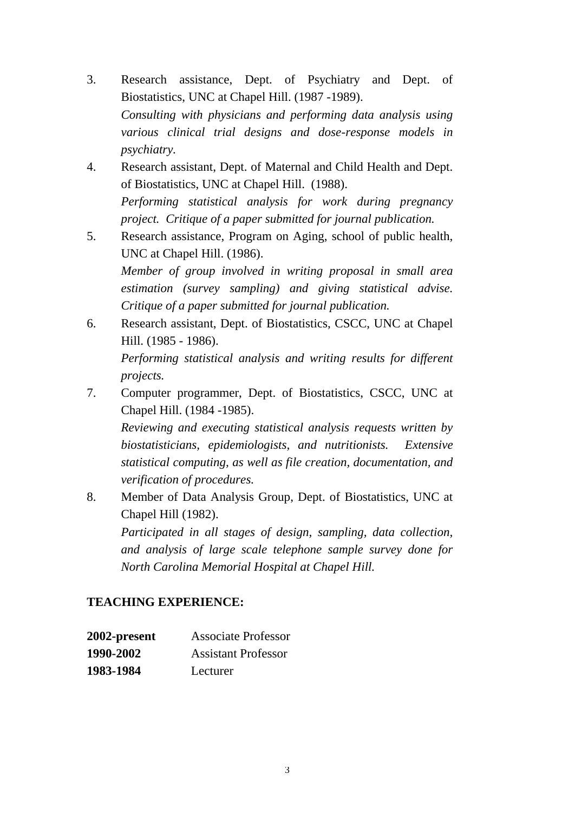- 3. Research assistance, Dept. of Psychiatry and Dept. of Biostatistics, UNC at Chapel Hill. (1987 -1989). *Consulting with physicians and performing data analysis using various clinical trial designs and dose-response models in psychiatry.*
- 4. Research assistant, Dept. of Maternal and Child Health and Dept. of Biostatistics, UNC at Chapel Hill. (1988). *Performing statistical analysis for work during pregnancy project. Critique of a paper submitted for journal publication.*
- 5. Research assistance, Program on Aging, school of public health, UNC at Chapel Hill. (1986). *Member of group involved in writing proposal in small area*

*estimation (survey sampling) and giving statistical advise. Critique of a paper submitted for journal publication.*

6. Research assistant, Dept. of Biostatistics, CSCC, UNC at Chapel Hill. (1985 - 1986).

*Performing statistical analysis and writing results for different projects.*

7. Computer programmer, Dept. of Biostatistics, CSCC, UNC at Chapel Hill. (1984 -1985).

*Reviewing and executing statistical analysis requests written by biostatisticians, epidemiologists, and nutritionists. Extensive statistical computing, as well as file creation, documentation, and verification of procedures.*

8. Member of Data Analysis Group, Dept. of Biostatistics, UNC at Chapel Hill (1982).

*Participated in all stages of design, sampling, data collection, and analysis of large scale telephone sample survey done for North Carolina Memorial Hospital at Chapel Hill.*

## **TEACHING EXPERIENCE:**

| 2002-present | <b>Associate Professor</b> |
|--------------|----------------------------|
| 1990-2002    | <b>Assistant Professor</b> |
| 1983-1984    | Lecturer                   |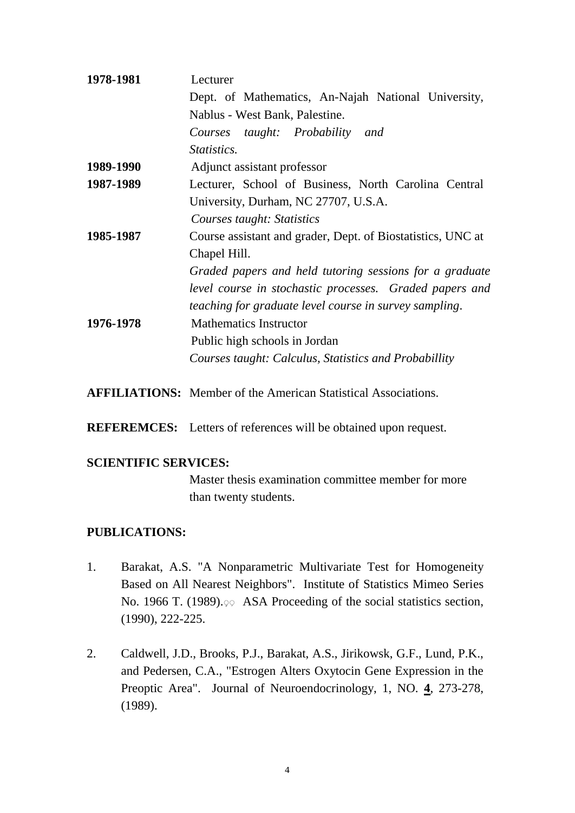| 1978-1981 | Lecturer                                                    |  |
|-----------|-------------------------------------------------------------|--|
|           | Dept. of Mathematics, An-Najah National University,         |  |
|           | Nablus - West Bank, Palestine.                              |  |
|           | Courses taught: Probability and                             |  |
|           | <i>Statistics.</i>                                          |  |
| 1989-1990 | Adjunct assistant professor                                 |  |
| 1987-1989 | Lecturer, School of Business, North Carolina Central        |  |
|           | University, Durham, NC 27707, U.S.A.                        |  |
|           | Courses taught: Statistics                                  |  |
| 1985-1987 | Course assistant and grader, Dept. of Biostatistics, UNC at |  |
|           | Chapel Hill.                                                |  |
|           | Graded papers and held tutoring sessions for a graduate     |  |
|           | level course in stochastic processes. Graded papers and     |  |
|           | teaching for graduate level course in survey sampling.      |  |
| 1976-1978 | <b>Mathematics Instructor</b>                               |  |
|           | Public high schools in Jordan                               |  |
|           | Courses taught: Calculus, Statistics and Probabillity       |  |
|           |                                                             |  |

**AFFILIATIONS:** Member of the American Statistical Associations.

**REFEREMCES:** Letters of references will be obtained upon request.

#### **SCIENTIFIC SERVICES:**

Master thesis examination committee member for more than twenty students.

## **PUBLICATIONS:**

- 1. Barakat, A.S. "A Nonparametric Multivariate Test for Homogeneity Based on All Nearest Neighbors". Institute of Statistics Mimeo Series No. 1966 T. (1989).  $\varphi$  ASA Proceeding of the social statistics section, (1990), 222-225.
- 2. Caldwell, J.D., Brooks, P.J., Barakat, A.S., Jirikowsk, G.F., Lund, P.K., and Pedersen, C.A., "Estrogen Alters Oxytocin Gene Expression in the Preoptic Area". Journal of Neuroendocrinology, 1, NO. **4**, 273-278, (1989).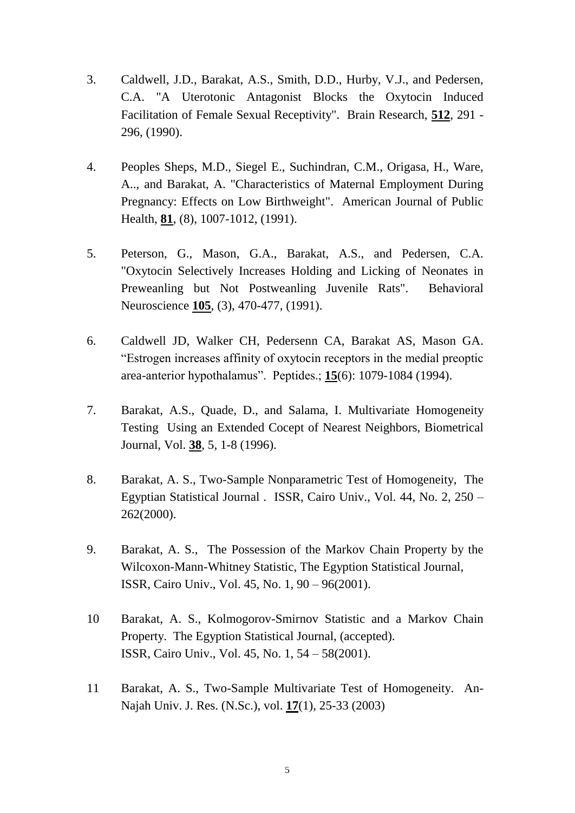- 3. Caldwell, J.D., Barakat, A.S., Smith, D.D., Hurby, V.J., and Pedersen, C.A. "A Uterotonic Antagonist Blocks the Oxytocin Induced Facilitation of Female Sexual Receptivity". Brain Research, **512**, 291 - 296, (1990).
- 4. Peoples Sheps, M.D., Siegel E., Suchindran, C.M., Origasa, H., Ware, A.., and Barakat, A. "Characteristics of Maternal Employment During Pregnancy: Effects on Low Birthweight". American Journal of Public Health, **81**, (8), 1007-1012, (1991).
- 5. Peterson, G., Mason, G.A., Barakat, A.S., and Pedersen, C.A. "Oxytocin Selectively Increases Holding and Licking of Neonates in Preweanling but Not Postweanling Juvenile Rats". Behavioral Neuroscience **105**, (3), 470-477, (1991).
- 6. Caldwell JD, Walker CH, Pedersenn CA, Barakat AS, Mason GA. "Estrogen increases affinity of oxytocin receptors in the medial preoptic area-anterior hypothalamus". Peptides.; **15**(6): 1079-1084 (1994).
- 7. Barakat, A.S., Quade, D., and Salama, I. Multivariate Homogeneity Testing Using an Extended Cocept of Nearest Neighbors, Biometrical Journal, Vol. **38**, 5, 1-8 (1996).
- 8. Barakat, A. S., Two-Sample Nonparametric Test of Homogeneity, The Egyptian Statistical Journal . ISSR, Cairo Univ., Vol. 44, No. 2, 250 – 262(2000).
- 9. Barakat, A. S., The Possession of the Markov Chain Property by the Wilcoxon-Mann-Whitney Statistic, The Egyption Statistical Journal, ISSR, Cairo Univ., Vol. 45, No. 1, 90 – 96(2001).
- 10 Barakat, A. S., Kolmogorov-Smirnov Statistic and a Markov Chain Property. The Egyption Statistical Journal, (accepted). ISSR, Cairo Univ., Vol. 45, No. 1, 54 – 58(2001).
- 11 Barakat, A. S., Two-Sample Multivariate Test of Homogeneity. An-Najah Univ. J. Res. (N.Sc.), vol. **17**(1), 25-33 (2003)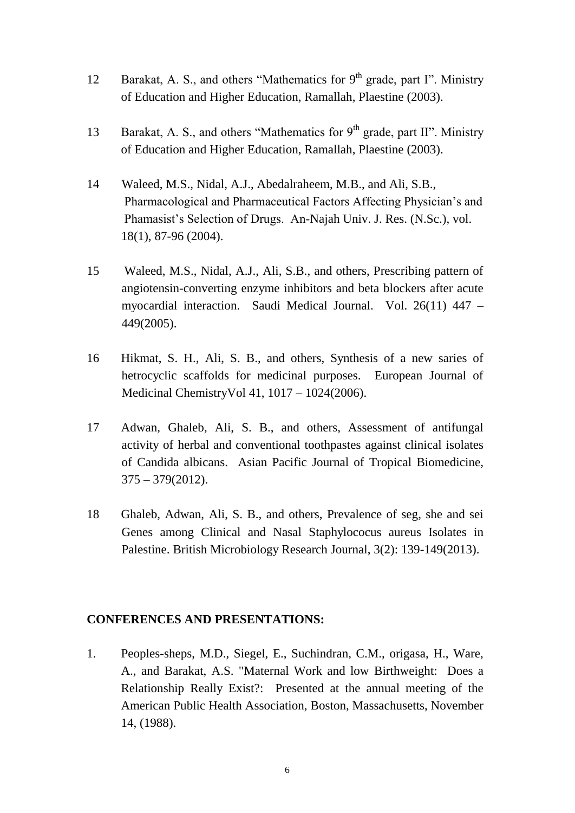- 12 Barakat, A. S., and others "Mathematics for  $9<sup>th</sup>$  grade, part I". Ministry of Education and Higher Education, Ramallah, Plaestine (2003).
- 13 Barakat, A. S., and others "Mathematics for  $9<sup>th</sup>$  grade, part II". Ministry of Education and Higher Education, Ramallah, Plaestine (2003).
- 14 Waleed, M.S., Nidal, A.J., Abedalraheem, M.B., and Ali, S.B., Pharmacological and Pharmaceutical Factors Affecting Physician's and Phamasist's Selection of Drugs. An-Najah Univ. J. Res. (N.Sc.), vol. 18(1), 87-96 (2004).
- 15 Waleed, M.S., Nidal, A.J., Ali, S.B., and others, Prescribing pattern of angiotensin-converting enzyme inhibitors and beta blockers after acute myocardial interaction. Saudi Medical Journal. Vol. 26(11) 447 – 449(2005).
- 16 Hikmat, S. H., Ali, S. B., and others, Synthesis of a new saries of hetrocyclic scaffolds for medicinal purposes. European Journal of Medicinal ChemistryVol 41, 1017 – 1024(2006).
- 17 Adwan, Ghaleb, Ali, S. B., and others, Assessment of antifungal activity of herbal and conventional toothpastes against clinical isolates of Candida albicans. Asian Pacific Journal of Tropical Biomedicine,  $375 - 379(2012)$ .
- 18 Ghaleb, Adwan, Ali, S. B., and others, Prevalence of seg, she and sei Genes among Clinical and Nasal Staphylococus aureus Isolates in Palestine. British Microbiology Research Journal, 3(2): 139-149(2013).

#### **CONFERENCES AND PRESENTATIONS:**

1. Peoples-sheps, M.D., Siegel, E., Suchindran, C.M., origasa, H., Ware, A., and Barakat, A.S. "Maternal Work and low Birthweight: Does a Relationship Really Exist?: Presented at the annual meeting of the American Public Health Association, Boston, Massachusetts, November 14, (1988).